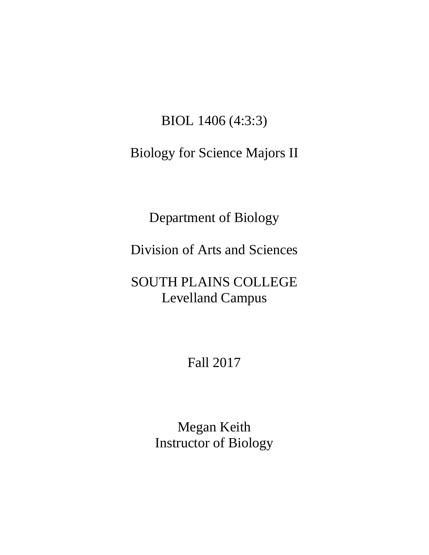### BIOL 1406 (4:3:3)

## Biology for Science Majors II

Department of Biology

Division of Arts and Sciences

# SOUTH PLAINS COLLEGE Levelland Campus

Fall 2017

Megan Keith Instructor of Biology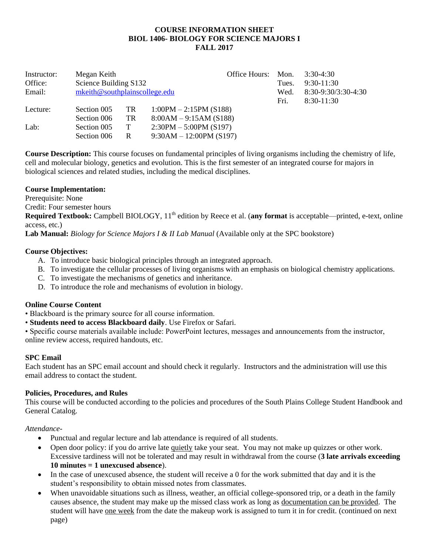#### **COURSE INFORMATION SHEET BIOL 1406- BIOLOGY FOR SCIENCE MAJORS I FALL 2017**

| Instructor:<br>Office:<br>Email: | Megan Keith<br>Science Building S132<br>mkeith@southplainscollege.edu |                    |                                                                                                              | Office Hours: | Mon.<br>Tues.<br>Wed.<br>Fri. | $3:30-4:30$<br>$9:30-11:30$<br>8:30-9:30/3:30-4:30<br>$8:30-11:30$ |
|----------------------------------|-----------------------------------------------------------------------|--------------------|--------------------------------------------------------------------------------------------------------------|---------------|-------------------------------|--------------------------------------------------------------------|
| Lecture:<br>Lab:                 | Section 005<br>Section 006<br>Section 005<br>Section 006              | TR<br>TR<br>T<br>R | $1:00PM - 2:15PM$ (S188)<br>$8:00AM - 9:15AM(S188)$<br>$2:30PM - 5:00PM$ (S197)<br>$9:30AM - 12:00PM$ (S197) |               |                               |                                                                    |

**Course Description:** This course focuses on fundamental principles of living organisms including the chemistry of life, cell and molecular biology, genetics and evolution. This is the first semester of an integrated course for majors in biological sciences and related studies, including the medical disciplines.

#### **Course Implementation:**

Prerequisite: None

Credit: Four semester hours

Required Textbook: Campbell BIOLOGY, 11<sup>th</sup> edition by Reece et al. (any format is acceptable—printed, e-text, online access, etc.)

**Lab Manual:** *Biology for Science Majors I & II Lab Manual* (Available only at the SPC bookstore)

#### **Course Objectives:**

- A. To introduce basic biological principles through an integrated approach.
- B. To investigate the cellular processes of living organisms with an emphasis on biological chemistry applications.
- C. To investigate the mechanisms of genetics and inheritance.
- D. To introduce the role and mechanisms of evolution in biology.

#### **Online Course Content**

- Blackboard is the primary source for all course information.
- **Students need to access Blackboard daily**. Use Firefox or Safari.

• Specific course materials available include: PowerPoint lectures, messages and announcements from the instructor, online review access, required handouts, etc.

#### **SPC Email**

Each student has an SPC email account and should check it regularly. Instructors and the administration will use this email address to contact the student.

#### **Policies, Procedures, and Rules**

This course will be conducted according to the policies and procedures of the South Plains College Student Handbook and General Catalog.

#### *Attendance*-

- Punctual and regular lecture and lab attendance is required of all students.
- Open door policy: if you do arrive late quietly take your seat. You may not make up quizzes or other work. Excessive tardiness will not be tolerated and may result in withdrawal from the course (**3 late arrivals exceeding 10 minutes = 1 unexcused absence**).
- In the case of unexcused absence, the student will receive a 0 for the work submitted that day and it is the student's responsibility to obtain missed notes from classmates.
- When unavoidable situations such as illness, weather, an official college-sponsored trip, or a death in the family causes absence, the student may make up the missed class work as long as documentation can be provided. The student will have one week from the date the makeup work is assigned to turn it in for credit. (continued on next page)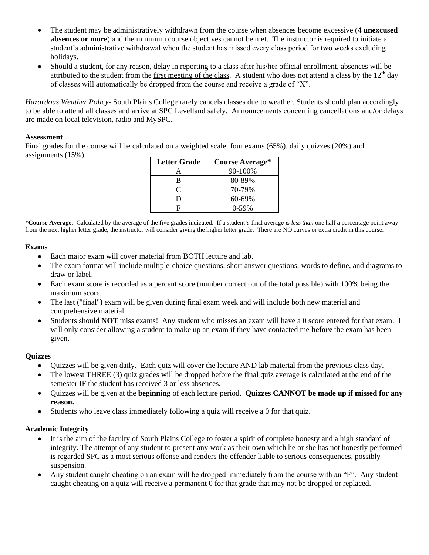- The student may be administratively withdrawn from the course when absences become excessive (**4 unexcused absences or more**) and the minimum course objectives cannot be met. The instructor is required to initiate a student's administrative withdrawal when the student has missed every class period for two weeks excluding holidays.
- Should a student, for any reason, delay in reporting to a class after his/her official enrollment, absences will be attributed to the student from the first meeting of the class. A student who does not attend a class by the  $12<sup>th</sup>$  day of classes will automatically be dropped from the course and receive a grade of "X".

*Hazardous Weather Policy-* South Plains College rarely cancels classes due to weather. Students should plan accordingly to be able to attend all classes and arrive at SPC Levelland safely. Announcements concerning cancellations and/or delays are made on local television, radio and MySPC.

#### **Assessment**

Final grades for the course will be calculated on a weighted scale: four exams (65%), daily quizzes (20%) and assignments (15%).

| <b>Letter Grade</b> | <b>Course Average*</b> |
|---------------------|------------------------|
|                     | 90-100%                |
| B                   | 80-89%                 |
| ⊂                   | 70-79%                 |
| D                   | $60 - 69\%$            |
| E                   | $0-59%$                |

\***Course Average**: Calculated by the average of the five grades indicated. If a student's final average *is less than* one half a percentage point away from the next higher letter grade, the instructor will consider giving the higher letter grade. There are NO curves or extra credit in this course.

#### **Exams**

- Each major exam will cover material from BOTH lecture and lab.
- The exam format will include multiple-choice questions, short answer questions, words to define, and diagrams to draw or label.
- Each exam score is recorded as a percent score (number correct out of the total possible) with 100% being the maximum score.
- The last ("final") exam will be given during final exam week and will include both new material and comprehensive material.
- Students should **NOT** miss exams! Any student who misses an exam will have a 0 score entered for that exam. I will only consider allowing a student to make up an exam if they have contacted me **before** the exam has been given.

#### **Quizzes**

- Quizzes will be given daily. Each quiz will cover the lecture AND lab material from the previous class day.
- The lowest THREE (3) quiz grades will be dropped before the final quiz average is calculated at the end of the semester IF the student has received 3 or less absences.
- Quizzes will be given at the **beginning** of each lecture period. **Quizzes CANNOT be made up if missed for any reason.**
- Students who leave class immediately following a quiz will receive a 0 for that quiz.

#### **Academic Integrity**

- It is the aim of the faculty of South Plains College to foster a spirit of complete honesty and a high standard of integrity. The attempt of any student to present any work as their own which he or she has not honestly performed is regarded SPC as a most serious offense and renders the offender liable to serious consequences, possibly suspension.
- Any student caught cheating on an exam will be dropped immediately from the course with an "F". Any student caught cheating on a quiz will receive a permanent 0 for that grade that may not be dropped or replaced.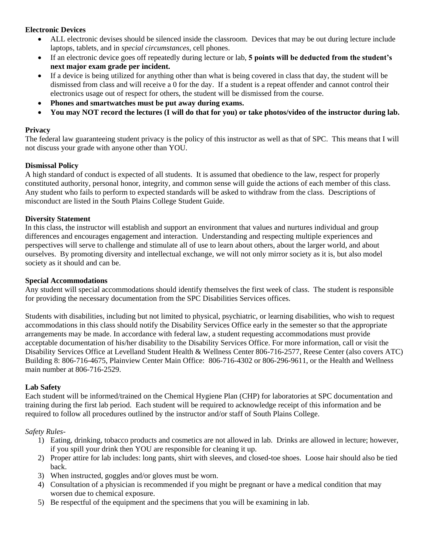#### **Electronic Devices**

- ALL electronic devises should be silenced inside the classroom. Devices that may be out during lecture include laptops, tablets, and in *special circumstances*, cell phones.
- If an electronic device goes off repeatedly during lecture or lab, **5 points will be deducted from the student's next major exam grade per incident.**
- If a device is being utilized for anything other than what is being covered in class that day, the student will be dismissed from class and will receive a 0 for the day. If a student is a repeat offender and cannot control their electronics usage out of respect for others, the student will be dismissed from the course.
- **Phones and smartwatches must be put away during exams.**
- **You may NOT record the lectures (I will do that for you) or take photos/video of the instructor during lab.**

#### **Privacy**

The federal law guaranteeing student privacy is the policy of this instructor as well as that of SPC. This means that I will not discuss your grade with anyone other than YOU.

#### **Dismissal Policy**

A high standard of conduct is expected of all students. It is assumed that obedience to the law, respect for properly constituted authority, personal honor, integrity, and common sense will guide the actions of each member of this class. Any student who fails to perform to expected standards will be asked to withdraw from the class. Descriptions of misconduct are listed in the South Plains College Student Guide.

#### **Diversity Statement**

In this class, the instructor will establish and support an environment that values and nurtures individual and group differences and encourages engagement and interaction. Understanding and respecting multiple experiences and perspectives will serve to challenge and stimulate all of use to learn about others, about the larger world, and about ourselves. By promoting diversity and intellectual exchange, we will not only mirror society as it is, but also model society as it should and can be.

#### **Special Accommodations**

Any student will special accommodations should identify themselves the first week of class. The student is responsible for providing the necessary documentation from the SPC Disabilities Services offices.

Students with disabilities, including but not limited to physical, psychiatric, or learning disabilities, who wish to request accommodations in this class should notify the Disability Services Office early in the semester so that the appropriate arrangements may be made. In accordance with federal law, a student requesting accommodations must provide acceptable documentation of his/her disability to the Disability Services Office. For more information, call or visit the Disability Services Office at Levelland Student Health & Wellness Center 806-716-2577, Reese Center (also covers ATC) Building 8: 806-716-4675, Plainview Center Main Office: 806-716-4302 or 806-296-9611, or the Health and Wellness main number at 806-716-2529.

#### **Lab Safety**

Each student will be informed/trained on the Chemical Hygiene Plan (CHP) for laboratories at SPC documentation and training during the first lab period. Each student will be required to acknowledge receipt of this information and be required to follow all procedures outlined by the instructor and/or staff of South Plains College.

#### *Safety Rules-*

- 1) Eating, drinking, tobacco products and cosmetics are not allowed in lab. Drinks are allowed in lecture; however, if you spill your drink then YOU are responsible for cleaning it up.
- 2) Proper attire for lab includes: long pants, shirt with sleeves, and closed-toe shoes. Loose hair should also be tied back.
- 3) When instructed, goggles and/or gloves must be worn.
- 4) Consultation of a physician is recommended if you might be pregnant or have a medical condition that may worsen due to chemical exposure.
- 5) Be respectful of the equipment and the specimens that you will be examining in lab.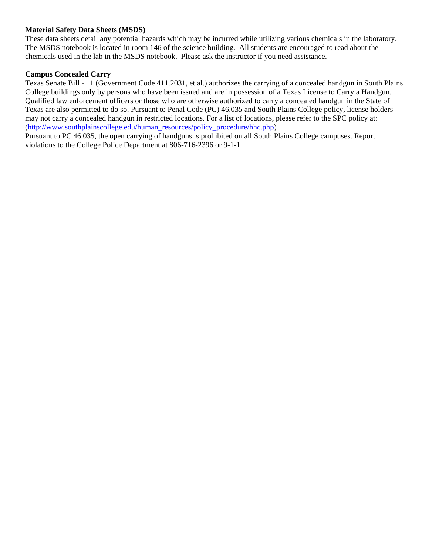#### **Material Safety Data Sheets (MSDS)**

These data sheets detail any potential hazards which may be incurred while utilizing various chemicals in the laboratory. The MSDS notebook is located in room 146 of the science building. All students are encouraged to read about the chemicals used in the lab in the MSDS notebook. Please ask the instructor if you need assistance.

#### **Campus Concealed Carry**

Texas Senate Bill - 11 (Government Code 411.2031, et al.) authorizes the carrying of a concealed handgun in South Plains College buildings only by persons who have been issued and are in possession of a Texas License to Carry a Handgun. Qualified law enforcement officers or those who are otherwise authorized to carry a concealed handgun in the State of Texas are also permitted to do so. Pursuant to Penal Code (PC) 46.035 and South Plains College policy, license holders may not carry a concealed handgun in restricted locations. For a list of locations, please refer to the SPC policy at: [\(http://www.southplainscollege.edu/human\\_resources/policy\\_procedure/hhc.php\)](http://www.southplainscollege.edu/human_resources/policy_procedure/hhc.php)

Pursuant to PC 46.035, the open carrying of handguns is prohibited on all South Plains College campuses. Report violations to the College Police Department at 806-716-2396 or 9-1-1.